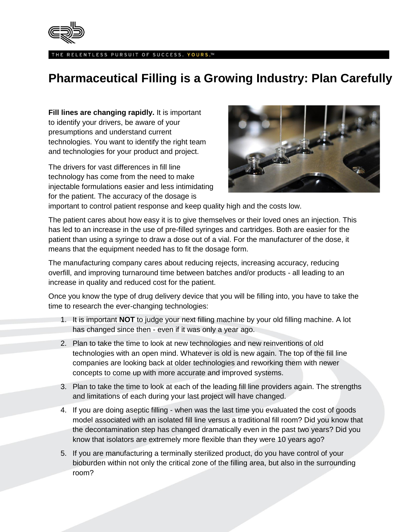

THE RELENTLESS PURSUIT OF SUCCESS. YOURS.™

## **Pharmaceutical Filling is a Growing Industry: Plan Carefully**

**Fill lines are changing rapidly.** It is important to identify your drivers, be aware of your presumptions and understand current technologies. You want to identify the right team and technologies for your product and project.

The drivers for vast differences in fill line technology has come from the need to make injectable formulations easier and less intimidating for the patient. The accuracy of the dosage is



important to control patient response and keep quality high and the costs low.

The patient cares about how easy it is to give themselves or their loved ones an injection. This has led to an increase in the use of pre-filled syringes and cartridges. Both are easier for the patient than using a syringe to draw a dose out of a vial. For the manufacturer of the dose, it means that the equipment needed has to fit the dosage form.

The manufacturing company cares about reducing rejects, increasing accuracy, reducing overfill, and improving turnaround time between batches and/or products - all leading to an increase in quality and reduced cost for the patient.

Once you know the type of drug delivery device that you will be filling into, you have to take the time to research the ever-changing technologies:

- 1. It is important **NOT** to judge your next filling machine by your old filling machine. A lot has changed since then - even if it was only a year ago.
- 2. Plan to take the time to look at new technologies and new reinventions of old technologies with an open mind. Whatever is old is new again. The top of the fill line companies are looking back at older technologies and reworking them with newer concepts to come up with more accurate and improved systems.
- 3. Plan to take the time to look at each of the leading fill line providers again. The strengths and limitations of each during your last project will have changed.
- 4. If you are doing aseptic filling when was the last time you evaluated the cost of goods model associated with an isolated fill line versus a traditional fill room? Did you know that the decontamination step has changed dramatically even in the past two years? Did you know that isolators are extremely more flexible than they were 10 years ago?
- 5. If you are manufacturing a terminally sterilized product, do you have control of your bioburden within not only the critical zone of the filling area, but also in the surrounding room?